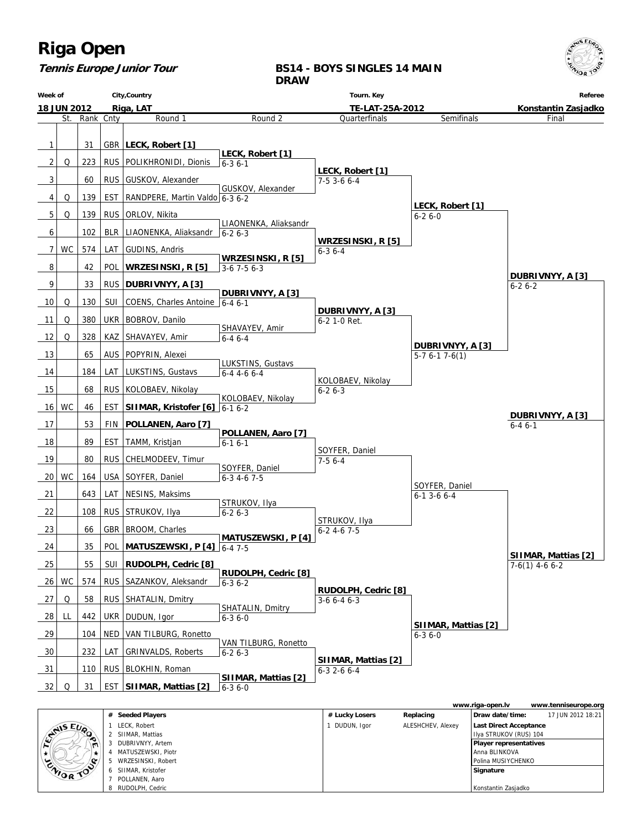

### **Tennis Europe Junior Tour**

### **BS14 - BOYS SINGLES 14 MAIN DRAW**

| Week of            |           |           |            | City, Country                      |                                  | Tourn. Key                           |                       | Referee             |
|--------------------|-----------|-----------|------------|------------------------------------|----------------------------------|--------------------------------------|-----------------------|---------------------|
| <b>18 JUN 2012</b> |           |           |            | Riga, LAT                          | TE-LAT-25A-2012                  |                                      |                       | Konstantin Zasjadko |
|                    | St.       | Rank Cnty |            | Round 1                            | Round 2                          | Quarterfinals                        | Semifinals            | Final               |
|                    |           |           |            |                                    |                                  |                                      |                       |                     |
| $\mathbf{1}$       |           | 31        |            | GBR   LECK, Robert [1]             | LECK, Robert [1]                 |                                      |                       |                     |
| 2                  | Q         | 223       |            | RUS   POLIKHRONIDI, Dionis         | $6 - 36 - 1$                     |                                      |                       |                     |
| 3                  |           | 60        |            | RUS GUSKOV, Alexander              |                                  | LECK, Robert [1]<br>$7-53-66-4$      |                       |                     |
|                    |           |           |            |                                    | GUSKOV, Alexander                |                                      |                       |                     |
| 4                  | Q         | 139       | EST        | RANDPERE, Martin Valdo 6-3 6-2     |                                  |                                      | LECK, Robert [1]      |                     |
| 5                  | Q         | 139       |            | RUS   ORLOV, Nikita                | LIAONENKA, Aliaksandr            |                                      | $6 - 26 - 0$          |                     |
| 6                  |           | 102       |            | BLR   LIAONENKA, Aliaksandr        | $6 - 26 - 3$                     |                                      |                       |                     |
| 7                  | <b>WC</b> | 574       | LAT        | GUDINS, Andris                     |                                  | WRZESINSKI, R [5]<br>$6 - 36 - 4$    |                       |                     |
|                    |           |           |            |                                    | WRZESINSKI, R [5]                |                                      |                       |                     |
| 8                  |           | 42        | POL        | WRZESINSKI, R [5]                  | $3-6$ 7 $-5$ 6 $-3$              |                                      |                       | DUBRIVNYY, A [3]    |
| 9                  |           | 33        |            | RUS   DUBRIVNYY, A [3]             | DUBRIVNYY, A [3]                 |                                      |                       | $6 - 26 - 2$        |
| 10                 | Q         | 130       |            | SUI COENS, Charles Antoine 6-4 6-1 |                                  |                                      |                       |                     |
| 11                 | Q         | 380       |            | UKR   BOBROV, Danilo               |                                  | DUBRIVNYY, A [3]<br>6-2 1-0 Ret.     |                       |                     |
| 12                 | Q         | 328       |            |                                    | SHAVAYEV, Amir                   |                                      |                       |                     |
|                    |           |           | KAZ        | SHAVAYEV, Amir                     | $6 - 46 - 4$                     |                                      | DUBRIVNYY, A [3]      |                     |
| 13                 |           | 65        | <b>AUS</b> | POPYRIN, Alexei                    | LUKSTINS, Gustavs                |                                      | $5-7$ 6-1 7-6(1)      |                     |
| 14                 |           | 184       |            | LAT   LUKSTINS, Gustavs            | $6-4$ 4-6 6-4                    |                                      |                       |                     |
| 15                 |           | 68        |            | RUS   KOLOBAEV, Nikolay            |                                  | KOLOBAEV, Nikolay<br>$6 - 26 - 3$    |                       |                     |
| 16                 | WC        | 46        | EST        | SIIMAR, Kristofer $[6]$ 6-1 6-2    | KOLOBAEV, Nikolay                |                                      |                       |                     |
|                    |           |           |            |                                    |                                  |                                      |                       | DUBRIVNYY, A [3]    |
| 17                 |           | 53        | <b>FIN</b> | POLLANEN, Aaro [7]                 | POLLANEN, Aaro [7]               |                                      |                       | $6 - 46 - 1$        |
| 18                 |           | 89        | <b>EST</b> | TAMM, Kristjan                     | $6 - 16 - 1$                     |                                      |                       |                     |
| 19                 |           | 80        |            | RUS   CHELMODEEV, Timur            |                                  | SOYFER, Daniel<br>$7-56--4$          |                       |                     |
| 20                 | <b>WC</b> | 164       |            | USA SOYFER, Daniel                 | SOYFER, Daniel<br>$6-3$ 4-6 7-5  |                                      |                       |                     |
|                    |           |           |            |                                    |                                  |                                      | SOYFER, Daniel        |                     |
| 21                 |           | 643       | LAT        | NESINS, Maksims                    | STRUKOV, Ilya                    |                                      | $6 - 1$ 3 - 6 $6 - 4$ |                     |
| 22                 |           | 108       | <b>RUS</b> | STRUKOV, Ilya                      | $6 - 26 - 3$                     |                                      |                       |                     |
| 23                 |           | 66        |            | GBR BROOM, Charles                 |                                  | STRUKOV, Ilya<br>$6 - 24 - 67 - 5$   |                       |                     |
| 24                 |           | 35        | <b>POL</b> | MATUSZEWSKI, P [4] 6-4 7-5         | <b>MATUSZEWSKI, P[4]</b>         |                                      |                       |                     |
|                    |           |           |            |                                    |                                  |                                      |                       | SIIMAR, Mattias [2] |
| 25                 |           | 55        |            | SUI RUDOLPH, Cedric [8]            | RUDOLPH, Cedric [8]              |                                      |                       | $7-6(1)$ 4-6 6-2    |
|                    | $26$ WC   | 574       | <b>RUS</b> | SAZANKOV, Aleksandr                | $6 - 36 - 2$                     |                                      |                       |                     |
| 27                 | Q         | 58        |            | RUS   SHATALIN, Dmitry             |                                  | RUDOLPH, Cedric [8]<br>$3-66-46-3$   |                       |                     |
| 28                 | LL        | 442       |            | UKR   DUDUN, Igor                  | SHATALIN, Dmitry<br>$6 - 36 - 0$ |                                      |                       |                     |
|                    |           |           |            |                                    |                                  |                                      | SIIMAR, Mattias [2]   |                     |
| 29                 |           | 104       | NED        | VAN TILBURG, Ronetto               | VAN TILBURG, Ronetto             |                                      | $6 - 36 - 0$          |                     |
| 30                 |           | 232       | LAT        | <b>GRINVALDS, Roberts</b>          | $6 - 26 - 3$                     |                                      |                       |                     |
| 31                 |           | 110       |            | RUS   BLOKHIN, Roman               |                                  | SIIMAR, Mattias [2]<br>$6-3$ 2-6 6-4 |                       |                     |
| 32                 | Q         | 31        |            | EST   SIIMAR, Mattias [2]          | SIIMAR, Mattias [2]              |                                      |                       |                     |
|                    |           |           |            |                                    | $6 - 36 - 0$                     |                                      |                       |                     |

|                  |                |                    |                |                   | www.riga-open.lv              | www.tenniseurope.org |
|------------------|----------------|--------------------|----------------|-------------------|-------------------------------|----------------------|
|                  |                | # Seeded Players   | # Lucky Losers | Replacing         | Draw date/time:               | 17 JUN 2012 18:21    |
|                  |                | LECK. Robert       | DUDUN, Igor    | ALESHCHEV, Alexey | Last Direct Acceptance        |                      |
| <b>STAIS EUP</b> | ∼              | SHMAR, Mattias     |                |                   | Ilya STRUKOV (RUS) 104        |                      |
|                  | $\blacksquare$ | DUBRIVNYY, Artem   |                |                   | <b>Player representatives</b> |                      |
|                  |                | MATUSZEWSKI, Piotr |                |                   | l Anna BLINKOVA               |                      |
|                  | ENIOR TOO      | WRZESINSKI, Robert |                |                   | I Polina MUSIYCHENKO          |                      |
|                  |                | SIIMAR. Kristofer  |                |                   | Signature                     |                      |
|                  |                | POLLANEN, Aaro     |                |                   |                               |                      |
|                  |                | RUDOLPH, Cedric    |                |                   | Konstantin Zasjadko           |                      |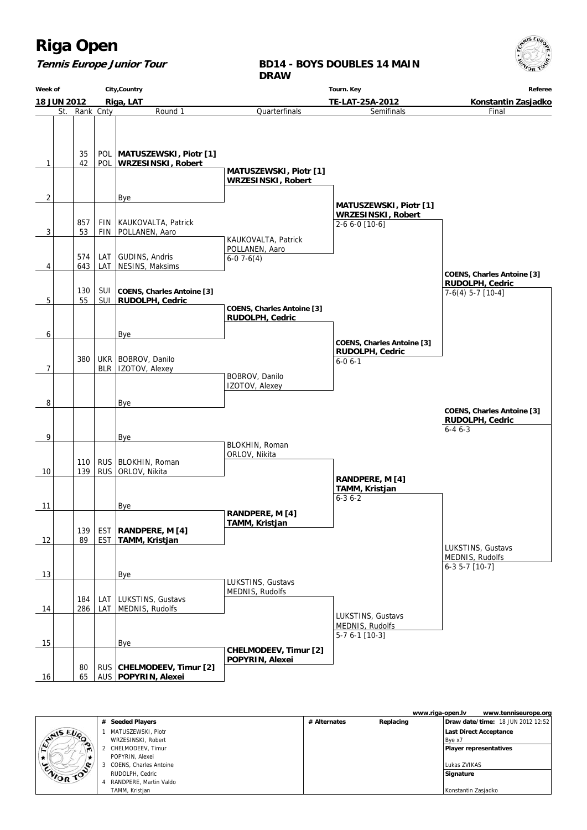## **Tennis Europe Junior Tour**

**BD14 - BOYS DOUBLES 14 MAIN DRAW**

| City, Country<br>Week of |                          |               |                          |                                                           | Tourn. Key                                           | Referee                                           |                                                                      |  |
|--------------------------|--------------------------|---------------|--------------------------|-----------------------------------------------------------|------------------------------------------------------|---------------------------------------------------|----------------------------------------------------------------------|--|
|                          | 18 JUN 2012<br>Riga, LAT |               |                          |                                                           |                                                      | TE-LAT-25A-2012                                   | Konstantin Zasjadko                                                  |  |
|                          |                          | St. Rank Cnty |                          | Round 1                                                   | Quarterfinals                                        | Semifinals                                        | Final                                                                |  |
| 1                        |                          | 35<br>42      | <b>POL</b>               | POL   MATUSZEWSKI, Piotr [1]<br><b>WRZESINSKI, Robert</b> | <b>MATUSZEWSKI, Piotr [1]</b>                        |                                                   |                                                                      |  |
|                          |                          |               |                          |                                                           | <b>WRZESINSKI, Robert</b>                            |                                                   |                                                                      |  |
| 2                        |                          |               |                          | Bye                                                       |                                                      |                                                   |                                                                      |  |
|                          |                          |               |                          |                                                           |                                                      | <b>MATUSZEWSKI, Piotr [1]</b>                     |                                                                      |  |
| 3                        |                          | 857<br>53     | <b>FIN</b><br>FIN        | KAUKOVALTA, Patrick<br>POLLANEN, Aaro                     | KAUKOVALTA, Patrick                                  | <b>WRZESINSKI, Robert</b><br>2-6 6-0 [10-6]       |                                                                      |  |
|                          |                          |               |                          |                                                           | POLLANEN, Aaro                                       |                                                   |                                                                      |  |
|                          |                          | 574           | LAT                      | GUDINS, Andris                                            | $6-07-6(4)$                                          |                                                   |                                                                      |  |
| 4                        |                          | 643           | LAT                      | NESINS, Maksims                                           |                                                      |                                                   | <b>COENS, Charles Antoine [3]</b>                                    |  |
|                          |                          | 130           | <b>SUI</b>               | <b>COENS, Charles Antoine [3]</b>                         |                                                      |                                                   | RUDOLPH, Cedric<br>$7-6(4)$ 5-7 [10-4]                               |  |
| 5                        |                          | 55            | SUI                      | RUDOLPH, Cedric                                           |                                                      |                                                   |                                                                      |  |
|                          |                          |               |                          |                                                           | <b>COENS, Charles Antoine [3]</b><br>RUDOLPH, Cedric |                                                   |                                                                      |  |
| 6                        |                          |               |                          | Bye                                                       |                                                      | <b>COENS, Charles Antoine [3]</b>                 |                                                                      |  |
|                          |                          |               |                          |                                                           |                                                      | <b>RUDOLPH, Cedric</b>                            |                                                                      |  |
| 7                        |                          | 380           | BLR                      | UKR   BOBROV, Danilo<br>IZOTOV, Alexey                    |                                                      | $6 - 06 - 1$                                      |                                                                      |  |
|                          |                          |               |                          |                                                           | BOBROV, Danilo<br>IZOTOV, Alexey                     |                                                   |                                                                      |  |
| 8                        |                          |               |                          | Bye                                                       |                                                      |                                                   |                                                                      |  |
|                          |                          |               |                          |                                                           |                                                      |                                                   | <b>COENS, Charles Antoine [3]</b><br>RUDOLPH, Cedric<br>$6 - 46 - 3$ |  |
| 9                        |                          |               |                          | <b>Bye</b>                                                | BLOKHIN, Roman                                       |                                                   |                                                                      |  |
|                          |                          |               |                          |                                                           | ORLOV, Nikita                                        |                                                   |                                                                      |  |
| 10                       |                          | 110<br>139    | <b>RUS</b><br><b>RUS</b> | BLOKHIN, Roman<br>ORLOV, Nikita                           |                                                      |                                                   |                                                                      |  |
|                          |                          |               |                          |                                                           |                                                      | RANDPERE, M [4]<br>TAMM, Kristjan<br>$6 - 36 - 2$ |                                                                      |  |
| 11                       |                          |               |                          | Bye                                                       | RANDPERE, M [4]                                      |                                                   |                                                                      |  |
|                          |                          |               |                          |                                                           | TAMM, Kristjan                                       |                                                   |                                                                      |  |
| 12                       |                          | 139<br>89     | EST<br><b>EST</b>        | RANDPERE, M [4]<br>TAMM, Kristjan                         |                                                      |                                                   |                                                                      |  |
|                          |                          |               |                          |                                                           |                                                      |                                                   | LUKSTINS, Gustavs<br>MEDNIS, Rudolfs                                 |  |
| 13                       |                          |               |                          | Bye                                                       |                                                      |                                                   | $6-35-7$ [10-7]                                                      |  |
|                          |                          |               |                          |                                                           | LUKSTINS, Gustavs<br>MEDNIS, Rudolfs                 |                                                   |                                                                      |  |
|                          |                          | 184           | LAT                      | LUKSTINS, Gustavs                                         |                                                      |                                                   |                                                                      |  |
| 14                       |                          | 286           | LAT                      | MEDNIS, Rudolfs                                           |                                                      | LUKSTINS, Gustavs                                 |                                                                      |  |
|                          |                          |               |                          |                                                           |                                                      | MEDNIS, Rudolfs                                   |                                                                      |  |
| 15                       |                          |               |                          | Bye                                                       |                                                      | 5-7 6-1 [10-3]                                    |                                                                      |  |
|                          |                          |               |                          |                                                           | CHELMODEEV, Timur [2]                                |                                                   |                                                                      |  |
| 16                       |                          | 80<br>65      | RUS                      | CHELMODEEV, Timur [2]<br>AUS   POPYRIN, Alexei            | POPYRIN, Alexei                                      |                                                   |                                                                      |  |

|           |   |                        |              | www.riga-open.lv | www.tenniseurope.org              |
|-----------|---|------------------------|--------------|------------------|-----------------------------------|
|           | # | <b>Seeded Players</b>  | # Alternates | Replacing        | Draw date/time: 18 JUN 2012 12:52 |
| CYNIS EUP |   | MATUSZEWSKI, Piotr     |              |                  | <b>Last Direct Acceptance</b>     |
|           |   | WRZESINSKI, Robert     |              |                  | Bye x7                            |
| ∼<br>т    | 2 | CHELMODEEV, Timur      |              |                  | <b>Player representatives</b>     |
|           |   | POPYRIN, Alexei        |              |                  |                                   |
| ENIOR TOP |   | COENS, Charles Antoine |              |                  | Lukas ZVIKAS                      |
|           |   | RUDOLPH, Cedric        |              |                  | Signature                         |
|           | 4 | RANDPERE. Martin Valdo |              |                  |                                   |
|           |   | TAMM, Kristjan         |              |                  | Konstantin Zasjadko               |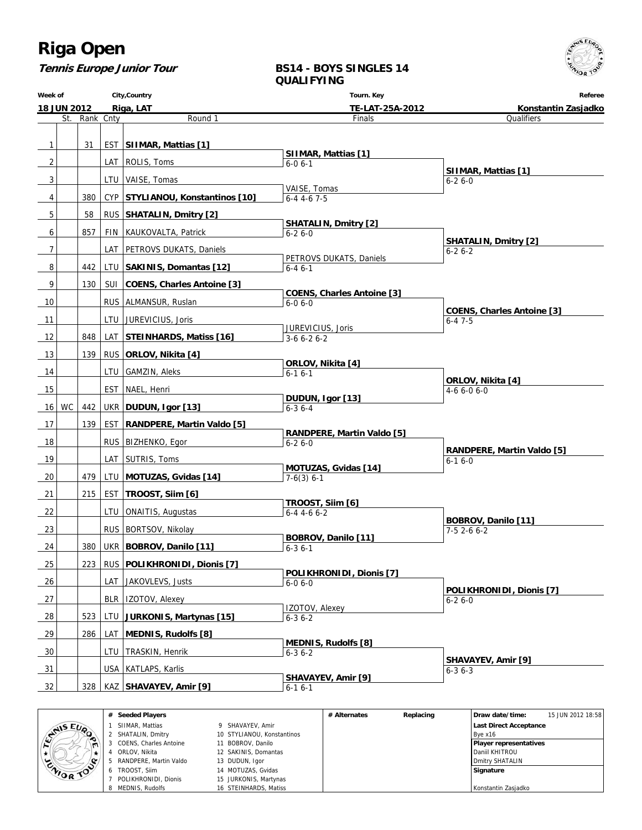**Tennis Europe Junior Tour**

#### **BS14 - BOYS SINGLES 14 QUALIFYING**

**Week of 18 JUN 2012 City,Country Riga, LAT Tourn. Key TE-LAT-25A-2012 Referee Konstantin Zasjadko** St. Rank Cnty **Round 1** 1 31 EST **SIIMAR, Mattias [1]** 2 | LAT ROLIS, Toms 3 | | | | LTU | VAISE, Tomas 4 380 CYP **STYLIANOU, Konstantinos [10]** 5 58 RUS **SHATALIN, Dmitry [2]** 6 | 857 FIN KAUKOVALTA, Patrick 7 | | | | LAT | PETROVS DUKATS, Daniels 8 442 LTU **SAKINIS, Domantas [12]** 9 | 130 | SUI | COENS, Charles Antoine [3] 10 | RUS ALMANSUR, Ruslan 11 | LTU JUREVICIUS, Joris 12 848 LAT **STEINHARDS, Matiss [16]** 13 139 RUS **ORLOV, Nikita [4]** 14 | LTU GAMZIN, Aleks 15 | EST NAEL, Henri 16 WC 442 UKR **DUDUN, Igor [13]** 17 139 EST **RANDPERE, Martin Valdo [5]** 18 | RUS BIZHENKO, Egor 19 | LAT SUTRIS, Toms 20 479 LTU **MOTUZAS, Gvidas [14]** 21 215 EST **TROOST, Siim [6]** 22 | | | | LTU | ONAITIS, Augustas 23 | | | | RUS | BORTSOV, Nikolay 24 380 UKR **BOBROV, Danilo [11]** 25 223 RUS **POLIKHRONIDI, Dionis [7]** 26 | | | | LAT | JAKOVLEVS, Justs 27 | BLR | IZOTOV, Alexey 28 523 LTU **JURKONIS, Martynas [15]** 29 286 LAT **MEDNIS, Rudolfs [8]** 30 | LTU TRASKIN, Henrik 31 | USA KATLAPS, Karlis 32 328 KAZ **SHAVAYEV, Amir [9]** Finals  **SIIMAR, Mattias [1]** 6-0 6-1 VAISE, Tomas 6-4 4-6 7-5  **SHATALIN, Dmitry [2]** 6-2 6-0 PETROVS DUKATS, Daniels 6-4 6-1  **COENS, Charles Antoine [3]** 6-0 6-0 JUREVICIUS, Joris 3-6 6-2 6-2  **ORLOV, Nikita [4]**  $6-16-1$  **DUDUN, Igor [13]** 6-3 6-4  **RANDPERE, Martin Valdo [5]** 6-2 6-0  **MOTUZAS, Gvidas [14]** 7-6(3) 6-1  **TROOST, Siim [6]** 6-4 4-6 6-2  **BOBROV, Danilo [11]**  $6 - 36 - 1$  **POLIKHRONIDI, Dionis [7]** 6-0 6-0 IZOTOV, Alexey  $6 - 36 - 2$  **MEDNIS, Rudolfs [8]** 6-3 6-2  **SHAVAYEV, Amir [9]** 6-1 6-1 **Qualifiers SIIMAR, Mattias [1]** 6-2 6-0  **SHATALIN, Dmitry [2]** 6-2 6-2  **COENS, Charles Antoine [3]** 6-4 7-5  **ORLOV, Nikita [4]** 4-6 6-0 6-0  **RANDPERE, Martin Valdo [5]** 6-1 6-0  **BOBROV, Danilo [11]** 7-5 2-6 6-2  **POLIKHRONIDI, Dionis [7]** 6-2 6-0  **SHAVAYEV, Amir [9]** 6-3 6-3



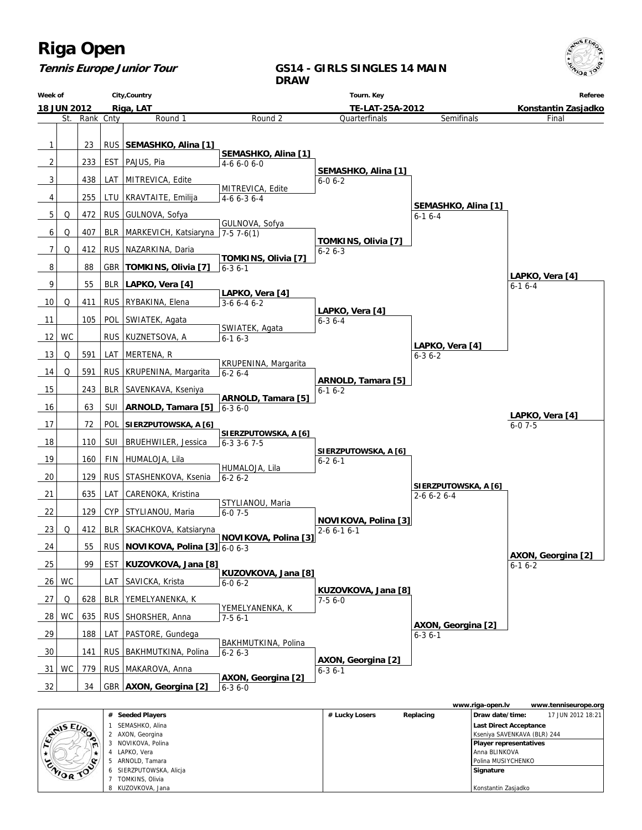

## **Tennis Europe Junior Tour**

### **GS14 - GIRLS SINGLES 14 MAIN DRAW**

|    | City, Country<br>Week of |           | Tourn. Key |                                          |                                             | Referee                                |                                 |                                    |
|----|--------------------------|-----------|------------|------------------------------------------|---------------------------------------------|----------------------------------------|---------------------------------|------------------------------------|
|    | <b>18 JUN 2012</b>       |           |            | Riga, LAT                                |                                             | TE-LAT-25A-2012<br>Konstantin Zasjadko |                                 |                                    |
|    | St.                      | Rank Cnty |            | Round 1                                  | Round <sub>2</sub>                          | Quarterfinals                          | Semifinals                      | Final                              |
| 1  |                          | 23        |            | RUS   SEMASHKO, Alina [1]                |                                             |                                        |                                 |                                    |
|    |                          |           |            |                                          | SEMASHKO, Alina [1]                         |                                        |                                 |                                    |
| 2  |                          | 233       |            | EST   PAJUS, Pia                         | $4-66-06-0$                                 | SEMASHKO, Alina [1]                    |                                 |                                    |
| 3  |                          | 438       |            | LAT   MITREVICA, Edite                   | MITREVICA, Edite                            | $6 - 06 - 2$                           |                                 |                                    |
| 4  |                          | 255       |            | LTU   KRAVTAITE, Emilija                 | $4-66-36-4$                                 |                                        |                                 |                                    |
| 5  | Q                        | 472       |            | RUS   GULNOVA, Sofya                     |                                             |                                        | SEMASHKO, Alina [1]<br>$6-16-4$ |                                    |
| 6  | Q                        | 407       |            | BLR   MARKEVICH, Katsiaryna   7-5 7-6(1) | GULNOVA, Sofya                              |                                        |                                 |                                    |
| 7  | Q                        | 412       |            | RUS   NAZARKINA, Daria                   |                                             | TOMKINS, Olivia [7]<br>$6 - 26 - 3$    |                                 |                                    |
|    |                          |           |            |                                          | TOMKINS, Olivia [7]                         |                                        |                                 |                                    |
| 8  |                          | 88        |            | GBR TOMKINS, Olivia [7]                  | $6 - 36 - 1$                                |                                        |                                 | LAPKO, Vera [4]                    |
| 9  |                          | 55        |            | BLR   LAPKO, Vera [4]                    | LAPKO, Vera [4]                             |                                        |                                 | $6 - 16 - 4$                       |
| 10 | Q                        | 411       |            | RUS   RYBAKINA, Elena                    | $3-66-46-2$                                 | LAPKO, Vera [4]                        |                                 |                                    |
| 11 |                          | 105       | <b>POL</b> | SWIATEK, Agata                           |                                             | $6 - 36 - 4$                           |                                 |                                    |
| 12 | WC                       |           |            | RUS   KUZNETSOVA, A                      | SWIATEK, Agata<br>$6 - 16 - 3$              |                                        |                                 |                                    |
| 13 | Q                        | 591       | LAT        | MERTENA, R                               |                                             |                                        | LAPKO, Vera [4]<br>$6 - 36 - 2$ |                                    |
|    | Q                        | 591       |            | RUS   KRUPENINA, Margarita               | KRUPENINA, Margarita                        |                                        |                                 |                                    |
| 14 |                          |           |            |                                          | $6 - 26 - 4$                                | ARNOLD, Tamara [5]                     |                                 |                                    |
| 15 |                          | 243       |            | BLR SAVENKAVA, Kseniya                   | ARNOLD, Tamara [5]                          | $6 - 16 - 2$                           |                                 |                                    |
| 16 |                          | 63        |            | SUI   ARNOLD, Tamara [5]                 | $6 - 36 - 0$                                |                                        |                                 | LAPKO, Vera [4]                    |
| 17 |                          | 72        | <b>POL</b> | SIERZPUTOWSKA, A [6]                     |                                             |                                        |                                 | $6 - 07 - 5$                       |
| 18 |                          | 110       | SUI        | <b>BRUEHWILER, Jessica</b>               | SIERZPUTOWSKA, A [6]<br>$6 - 3$ 3 - 6 7 - 5 |                                        |                                 |                                    |
| 19 |                          | 160       | FIN        | HUMALOJA, Lila                           |                                             | SIERZPUTOWSKA, A [6]<br>$6 - 26 - 1$   |                                 |                                    |
| 20 |                          | 129       |            | RUS STASHENKOVA, Ksenia                  | HUMALOJA, Lila<br>$6 - 26 - 2$              |                                        |                                 |                                    |
|    |                          |           |            |                                          |                                             |                                        | SIERZPUTOWSKA, A [6]            |                                    |
| 21 |                          | 635       | LAT        | CARENOKA, Kristina                       | STYLIANOU, Maria                            |                                        | $2 - 6 6 - 2 6 - 4$             |                                    |
| 22 |                          | 129       |            | CYP STYLIANOU, Maria                     | $6 - 07 - 5$                                | NOVIKOVA, Polina [3]                   |                                 |                                    |
| 23 | Q                        | 412       |            | BLR   SKACHKOVA, Katsiaryna              | NOVIKOVA, Polina [3]                        | $2 - 6 6 - 1 6 - 1$                    |                                 |                                    |
| 24 |                          | 55        |            | RUS NOVIKOVA, Polina $[3]$ 6-0 6-3       |                                             |                                        |                                 |                                    |
| 25 |                          | 99        |            | EST   KUZOVKOVA, Jana [8]                |                                             |                                        |                                 | AXON, Georgina [2]<br>$6 - 16 - 2$ |
| 26 | WC                       |           | LAT        | SAVICKA, Krista                          | KUZOVKOVA, Jana [8]<br>$6 - 06 - 2$         |                                        |                                 |                                    |
|    |                          | 628       |            |                                          |                                             | KUZOVKOVA, Jana [8]                    |                                 |                                    |
| 27 | Q                        |           | BLR        | YEMELYANENKA, K                          | YEMELYANENKA, K                             | $7-56-0$                               |                                 |                                    |
| 28 | WC                       | 635       |            | RUS   SHORSHER, Anna                     | $7-56-1$                                    |                                        | AXON, Georgina [2]              |                                    |
| 29 |                          | 188       |            | LAT   PASTORE, Gundega                   | BAKHMUTKINA, Polina                         |                                        | $6 - 36 - 1$                    |                                    |
| 30 |                          | 141       |            | RUS   BAKHMUTKINA, Polina                | $6 - 26 - 3$                                |                                        |                                 |                                    |
| 31 | WC                       | 779       |            | RUS   MAKAROVA, Anna                     |                                             | AXON, Georgina [2]<br>$6 - 36 - 1$     |                                 |                                    |
| 32 |                          | 34        |            | GBR   AXON, Georgina [2]                 | AXON, Georgina [2]                          |                                        |                                 |                                    |
|    |                          |           |            |                                          | $6 - 36 - 0$                                |                                        |                                 |                                    |

|                  |                |                       |                |           | www.riga-open.lv              | www.tenniseurope.org |
|------------------|----------------|-----------------------|----------------|-----------|-------------------------------|----------------------|
|                  |                | # Seeded Players      | # Lucky Losers | Replacing | Draw date/time:               | 17 JUN 2012 18:21    |
|                  |                | SEMASHKO, Alina       |                |           | <b>Last Direct Acceptance</b> |                      |
| <b>STAIS EUP</b> |                | AXON, Georgina        |                |           | Kseniya SAVENKAVA (BLR) 244   |                      |
|                  | $\blacksquare$ | NOVIKOVA, Polina      |                |           | <b>Player representatives</b> |                      |
|                  |                | LAPKO, Vera           |                |           | Anna BLINKOVA                 |                      |
|                  |                | ARNOLD, Tamara        |                |           | I Polina MUSIYCHENKO          |                      |
| ZNIOR TOO        |                | SIERZPUTOWSKA, Alicja |                |           | Signature                     |                      |
|                  |                | TOMKINS, Olivia       |                |           |                               |                      |
|                  |                | KUZOVKOVA, Jana       |                |           | Konstantin Zasjadko           |                      |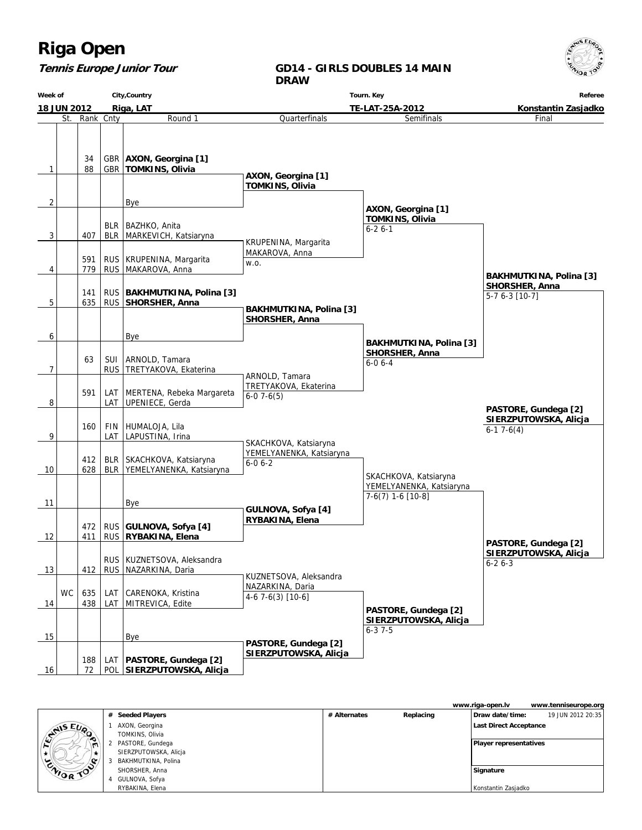#### **Tennis Europe Junior Tour**

#### **GD14 - GIRLS DOUBLES 14 MAIN DRAW**

**Week of 18 JUN 2012 City,Country Riga, LAT Tourn. Key TE-LAT-25A-2012 Referee Konstantin Zasjadko** St. Rank Cnty **Round 1**  $1 \mid 88$ 34 GBR GBR **AXON, Georgina [1] TOMKINS, Olivia** 2 | Bye  $3$   $\vert$  407 BLR BLR BAZHKO, Anita MARKEVICH, Katsiaryna 4 779 591 RUS RUS | KRUPENINA, Margarita MAKAROVA, Anna 5 635 141 RUS RUS **BAKHMUTKINA, Polina [3] SHORSHER, Anna** 6 | | | | | | Bye 7 63 RUS SUI ARNOLD, Tamara TRETYAKOVA, Ekaterina 8 591 LAT LAT MERTENA, Rebeka Margareta UPENIECE, Gerda 9 160 LAT FIN HUMALOJA, Lila LAPUSTINA, Irina 10 628 412 BLR BLR SKACHKOVA, Katsiaryna YEMELYANENKA, Katsiaryna 11 Bye 12 411 472 RUS RUS **GULNOVA, Sofya [4] RYBAKINA, Elena** 13 | 412 | RUS RUS KUZNETSOVA, Aleksandra NAZARKINA, Daria 14 WC 438 635 LAT LAT CARENOKA, Kristina MITREVICA, Edite 15 | Bye 16 72 188 POL  **SIERZPUTOWSKA, Alicja** LAT **PASTORE, Gundega [2]** Quarterfinals  **AXON, Georgina [1] TOMKINS, Olivia** KRUPENINA, Margarita MAKAROVA, Anna w.o.  **BAKHMUTKINA, Polina [3] SHORSHER, Anna** ARNOLD, Tamara TRETYAKOVA, Ekaterina  $6-07-6(5)$  SKACHKOVA, Katsiaryna YEMELYANENKA, Katsiaryna  $6 - 0 6 - 2$  **GULNOVA, Sofya [4] RYBAKINA, Elena** KUZNETSOVA, Aleksandra NAZARKINA, Daria 4-6 7-6(3) [10-6]  **PASTORE, Gundega [2] SIERZPUTOWSKA, Alicja** Semifinals  **AXON, Georgina [1] TOMKINS, Olivia** 6-2 6-1  **BAKHMUTKINA, Polina [3] SHORSHER, Anna** 6-0 6-4 SKACHKOVA, Katsiaryna YEMELYANENKA, Katsiaryna 7-6(7) 1-6 [10-8]  **PASTORE, Gundega [2] SIERZPUTOWSKA, Alicja** 6-3 7-5 Final  **BAKHMUTKINA, Polina [3] SHORSHER, Anna** 5-7 6-3 [10-7]  **PASTORE, Gundega [2] SIERZPUTOWSKA, Alicja** 6-2 6-3  **PASTORE, Gundega [2] SIERZPUTOWSKA, Alicja** 6-1 7-6(4)

|                |                       |              |           | www.riga-open.lv              | www.tenniseurope.org |
|----------------|-----------------------|--------------|-----------|-------------------------------|----------------------|
|                | # Seeded Players      | # Alternates | Replacing | Draw date/time:               | 19 JUN 2012 20:35    |
| <b>SAISEUP</b> | AXON, Georgina        |              |           | Last Direct Acceptance        |                      |
|                | TOMKINS, Olivia       |              |           |                               |                      |
|                | PASTORE, Gundega      |              |           | <b>Player representatives</b> |                      |
|                | SIERZPUTOWSKA, Alicja |              |           |                               |                      |
|                | BAKHMUTKINA, Polina   |              |           |                               |                      |
| ENIOR TOO      | SHORSHER, Anna        |              |           | Signature                     |                      |
|                | GULNOVA, Sofya        |              |           |                               |                      |
|                | RYBAKINA, Elena       |              |           | Konstantin Zasjadko           |                      |